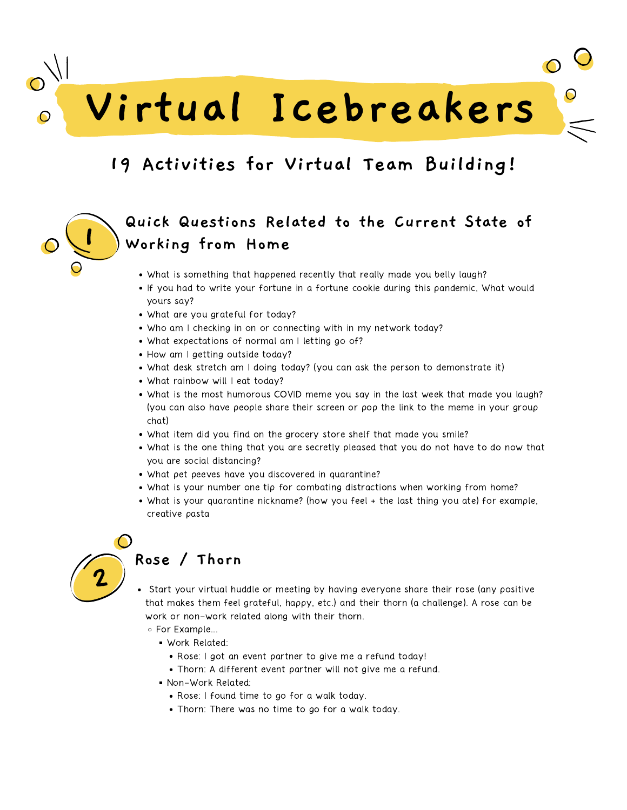**Virtual Icebreakers**

## **19 Activities for Virtual Team Building!**

## **Quick Questions Related to the Current State of Working from Home**

- What is something that happened recently that really made you belly laugh?
- If you had to write your fortune in a fortune cookie during this pandemic, What would yours say?
- What are you grateful for today?
- Who am I checking in on or connecting with in my network today?
- What expectations of normal am I letting go of?
- How am I getting outside today?
- What desk stretch am I doing today? (you can ask the person to demonstrate it)
- What rainbow will I eat today?
- What is the most humorous COVID meme you say in the last week that made you laugh? (you can also have people share their screen or pop the link to the meme in your group chat)
- What item did you find on the grocery store shelf that made you smile?
- What is the one thing that you are secretly pleased that you do not have to do now that you are social distancing?
- What pet peeves have you discovered in quarantine?
- What is your number one tip for combating distractions when working from home?
- What is your quarantine nickname? (how you feel + the last thing you ate) for example, creative pasta



**1**

#### **Rose / Thorn**

- Start your virtual huddle or meeting by having everyone share their rose (any positive that makes them feel grateful, happy, etc.) and their thorn (a challenge). A rose can be work or non-work related along with their thorn.
	- For Example...
		- Work Related:
			- Rose: I got an event partner to give me a refund today!
			- Thorn: A different event partner will not give me a refund.
		- Non-Work Related:
			- Rose: I found time to go for a walk today.
			- Thorn: There was no time to go for a walk today.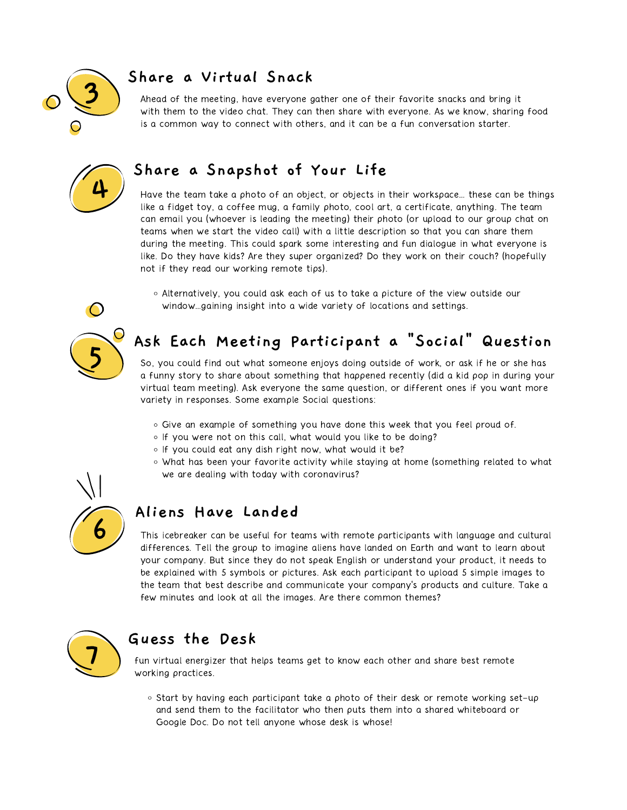

#### **Share a Virtual Snack**

Ahead of the meeting, have everyone gather one of their favorite snacks and bring it with them to the video chat. They can then share with everyone. As we know, sharing food is a common way to connect with others, and it can be a fun conversation starter.



#### **Share a Snapshot of Your Life**

Have the team take a photo of an object, or objects in their workspace… these can be things like a fidget toy, a coffee mug, a family photo, cool art, a certificate, anything. The team can email you (whoever is leading the meeting) their photo (or upload to our group chat on teams when we start the video call) with a little description so that you can share them during the meeting. This could spark some interesting and fun dialogue in what everyone is like. Do they have kids? Are they super organized? Do they work on their couch? (hopefully not if they read our working remote tips).

Alternatively, you could ask each of us to take a picture of the view outside our window…gaining insight into a wide variety of locations and settings.

# **5**

## **Ask Each Meeting Participant a "Social" Question**

So, you could find out what someone enjoys doing outside of work, or ask if he or she has a funny story to share about something that happened recently (did a kid pop in during your virtual team meeting). Ask everyone the same question, or different ones if you want more variety in responses. Some example Social questions:

- Give an example of something you have done this week that you feel proud of.
- o If you were not on this call, what would you like to be doing?
- o If you could eat any dish right now, what would it be?
- What has been your favorite activity while staying at home (something related to what we are dealing with today with coronavirus?



#### **Aliens Have Landed**

This icebreaker can be useful for teams with remote participants with language and cultural differences. Tell the group to imagine aliens have landed on Earth and want to learn about your company. But since they do not speak English or understand your product, it needs to be explained with 5 symbols or pictures. Ask each participant to upload 5 simple images to the team that best describe and communicate your company's products and culture. Take a few minutes and look at all the images. Are there common themes?



#### **Guess the Desk**

fun virtual energizer that helps teams get to know each other and share best remote working practices.

○ Start by having each participant take a photo of their desk or remote working set-up and send them to the facilitator who then puts them into a shared whiteboard or Google Doc. Do not tell anyone whose desk is whose!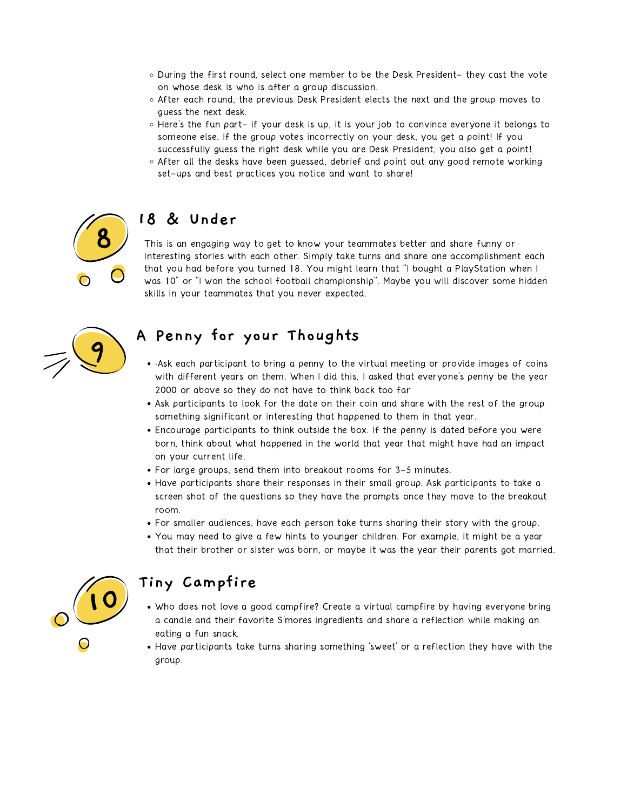- During the first round, select one member to be the Desk President- they cast the vote on whose desk is who is after a group discussion.
- After each round, the previous Desk President elects the next and the group moves to guess the next desk.
- Here's the fun part- if your desk is up, it is your job to convince everyone it belongs to someone else. If the group votes incorrectly on your desk, you get a point! If you successfully guess the right desk while you are Desk President, you also get a point!
- After all the desks have been guessed, debrief and point out any good remote working set-ups and best practices you notice and want to share!



#### **18 & Under**

This is an engaging way to get to know your teammates better and share funny or interesting stories with each other. Simply take turns and share one accomplishment each that you had before you turned 18. You might learn that "I bought a PlayStation when I was 10" or "I won the school football championship". Maybe you will discover some hidden skills in your teammates that you never expected.



#### **A Penny for your Thoughts**

- ·Ask each participant to bring a penny to the virtual meeting or provide images of coins with different years on them. When I did this, I asked that everyone's penny be the year 2000 or above so they do not have to think back too far
- Ask participants to look for the date on their coin and share with the rest of the group something significant or interesting that happened to them in that year.
- Encourage participants to think outside the box. If the penny is dated before you were born, think about what happened in the world that year that might have had an impact on your current life.
- For large groups, send them into breakout rooms for 3-5 minutes.
- Have participants share their responses in their small group. Ask participants to take a screen shot of the questions so they have the prompts once they move to the breakout room.
- For smaller audiences, have each person take turns sharing their story with the group.
- You may need to give a few hints to younger children. For example, it might be a year that their brother or sister was born, or maybe it was the year their parents got married.



#### **Tiny Campfire**

- Who does not love a good campfire? Create a virtual campfire by having everyone bring a candle and their favorite S'mores ingredients and share a reflection while making an eating a fun snack.
- Have participants take turns sharing something 'sweet' or a reflection they have with the group.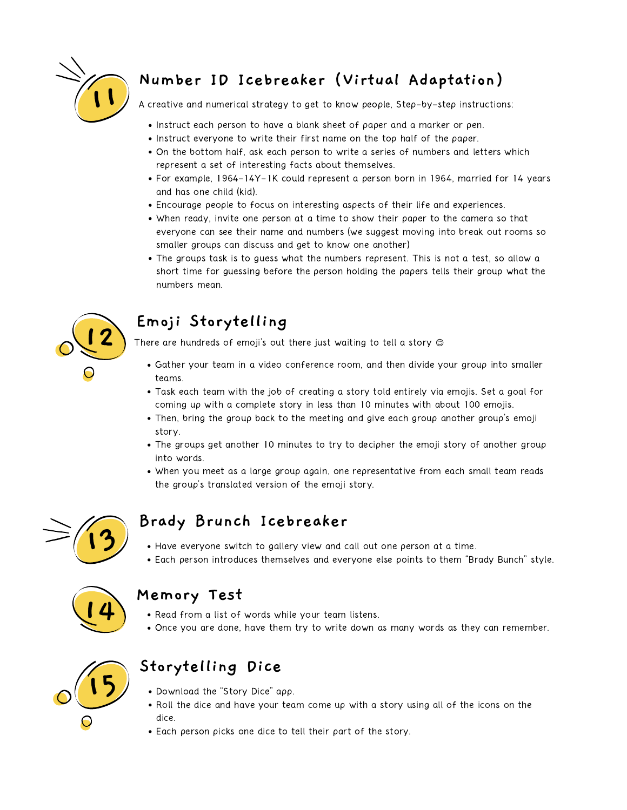

## **Number ID Icebreaker (Virtual Adaptation)**

A creative and numerical strategy to get to know people, Step-by-step instructions:

- Instruct each person to have a blank sheet of paper and a marker or pen.
- Instruct everyone to write their first name on the top half of the paper.
- On the bottom half, ask each person to write a series of numbers and letters which represent a set of interesting facts about themselves.
- For example, 1964-14Y-1K could represent a person born in 1964, married for 14 years and has one child (kid).
- Encourage people to focus on interesting aspects of their life and experiences.
- When ready, invite one person at a time to show their paper to the camera so that everyone can see their name and numbers (we suggest moving into break out rooms so smaller groups can discuss and get to know one another)
- The groups task is to guess what the numbers represent. This is not a test, so allow a short time for guessing before the person holding the papers tells their group what the numbers mean.



## **Emoji Storytelling**

There are hundreds of emoji's out there just waiting to tell a story  $\circledcirc$ 

- Gather your team in a video conference room, and then divide your group into smaller teams.
- Task each team with the job of creating a story told entirely via emojis. Set a goal for coming up with a complete story in less than 10 minutes with about 100 emojis.
- Then, bring the group back to the meeting and give each group another group's emoji story.
- The groups get another 10 minutes to try to decipher the emoji story of another group into words.
- When you meet as a large group again, one representative from each small team reads the group's translated version of the emoji story.



### **Brady Brunch Icebreaker**

- Have everyone switch to gallery view and call out one person at a time.
- Each person introduces themselves and everyone else points to them "Brady Bunch" style.



#### **Memory Test**

- Read from a list of words while your team listens.
- Once you are done, have them try to write down as many words as they can remember.



### **Storytelling Dice**

- Download the "Story Dice" app.
- Roll the dice and have your team come up with a story using all of the icons on the dice.
- Each person picks one dice to tell their part of the story.